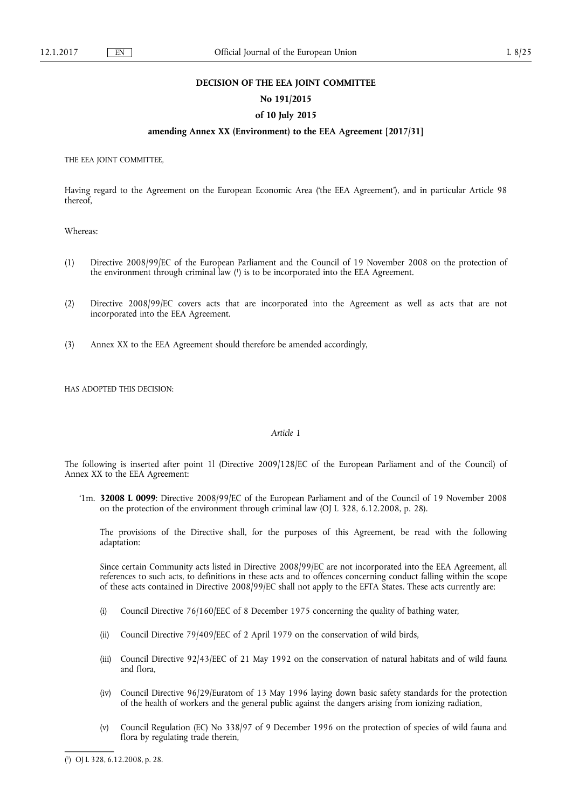### **DECISION OF THE EEA JOINT COMMITTEE**

# **No 191/2015**

# **of 10 July 2015**

# **amending Annex XX (Environment) to the EEA Agreement [2017/31]**

THE EEA JOINT COMMITTEE,

Having regard to the Agreement on the European Economic Area ('the EEA Agreement'), and in particular Article 98 thereof,

Whereas:

- (1) Directive 2008/99/EC of the European Parliament and the Council of 19 November 2008 on the protection of the environment through criminal law ( 1 ) is to be incorporated into the EEA Agreement.
- (2) Directive 2008/99/EC covers acts that are incorporated into the Agreement as well as acts that are not incorporated into the EEA Agreement.
- (3) Annex XX to the EEA Agreement should therefore be amended accordingly,

HAS ADOPTED THIS DECISION:

### *Article 1*

The following is inserted after point 1l (Directive 2009/128/EC of the European Parliament and of the Council) of Annex XX to the EEA Agreement:

'1m. **32008 L 0099**: Directive 2008/99/EC of the European Parliament and of the Council of 19 November 2008 on the protection of the environment through criminal law (OJ L 328, 6.12.2008, p. 28).

The provisions of the Directive shall, for the purposes of this Agreement, be read with the following adaptation:

Since certain Community acts listed in Directive 2008/99/EC are not incorporated into the EEA Agreement, all references to such acts, to definitions in these acts and to offences concerning conduct falling within the scope of these acts contained in Directive 2008/99/EC shall not apply to the EFTA States. These acts currently are:

- (i) Council Directive 76/160/EEC of 8 December 1975 concerning the quality of bathing water,
- (ii) Council Directive 79/409/EEC of 2 April 1979 on the conservation of wild birds,
- (iii) Council Directive 92/43/EEC of 21 May 1992 on the conservation of natural habitats and of wild fauna and flora,
- (iv) Council Directive 96/29/Euratom of 13 May 1996 laying down basic safety standards for the protection of the health of workers and the general public against the dangers arising from ionizing radiation,
- (v) Council Regulation (EC) No 338/97 of 9 December 1996 on the protection of species of wild fauna and flora by regulating trade therein,

<sup>(</sup> 1 ) OJ L 328, 6.12.2008, p. 28.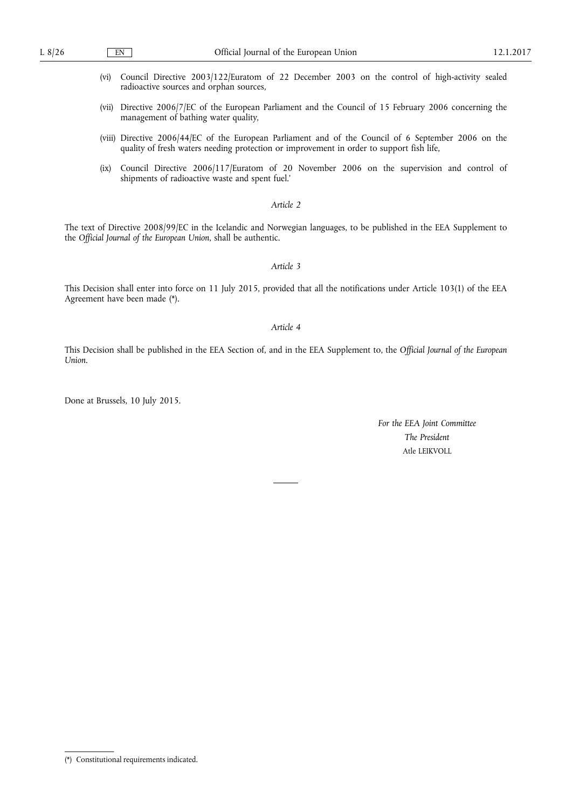- (vi) Council Directive 2003/122/Euratom of 22 December 2003 on the control of high-activity sealed radioactive sources and orphan sources,
- (vii) Directive 2006/7/EC of the European Parliament and the Council of 15 February 2006 concerning the management of bathing water quality,
- (viii) Directive 2006/44/EC of the European Parliament and of the Council of 6 September 2006 on the quality of fresh waters needing protection or improvement in order to support fish life,
- (ix) Council Directive 2006/117/Euratom of 20 November 2006 on the supervision and control of shipments of radioactive waste and spent fuel.'

# *Article 2*

The text of Directive 2008/99/EC in the Icelandic and Norwegian languages, to be published in the EEA Supplement to the *Official Journal of the European Union*, shall be authentic.

#### *Article 3*

This Decision shall enter into force on 11 July 2015, provided that all the notifications under Article 103(1) of the EEA Agreement have been made (\*).

# *Article 4*

This Decision shall be published in the EEA Section of, and in the EEA Supplement to, the *Official Journal of the European Union*.

Done at Brussels, 10 July 2015.

*For the EEA Joint Committee The President*  Atle LEIKVOLL

<sup>(\*)</sup> Constitutional requirements indicated.